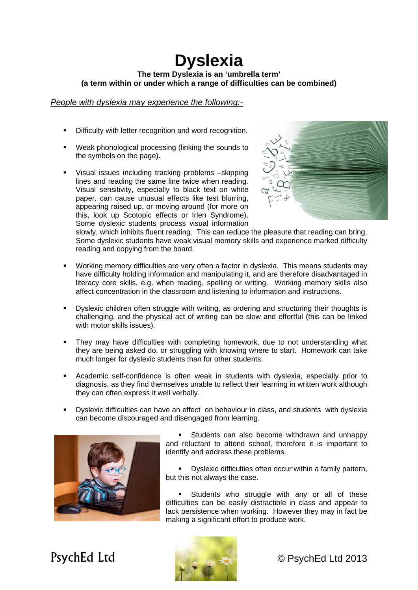## **Dyslexia The term Dyslexia is an 'umbrella term' (a term within or under which a range of difficulties can be combined)**

*People with dyslexia may experience the following:-*

- Difficulty with letter recognition and word recognition.
- Weak phonological processing (linking the sounds to the symbols on the page).
- Visual issues including tracking problems –skipping lines and reading the same line twice when reading. Visual sensitivity, especially to black text on white paper, can cause unusual effects like test blurring, appearing raised up, or moving around (for more on this, look up Scotopic effects or Irlen Syndrome). Some dyslexic students process visual information



slowly, which inhibits fluent reading. This can reduce the pleasure that reading can bring. Some dyslexic students have weak visual memory skills and experience marked difficulty reading and copying from the board.

- Working memory difficulties are very often a factor in dyslexia. This means students may have difficulty holding information and manipulating it, and are therefore disadvantaged in literacy core skills, e.g. when reading, spelling or writing. Working memory skills also affect concentration in the classroom and listening to information and instructions.
- **•** Dyslexic children often struggle with writing, as ordering and structuring their thoughts is challenging, and the physical act of writing can be slow and effortful (this can be linked with motor skills issues).
- They may have difficulties with completing homework, due to not understanding what they are being asked do, or struggling with knowing where to start. Homework can take much longer for dyslexic students than for other students.
- Academic self-confidence is often weak in students with dyslexia, especially prior to diagnosis, as they find themselves unable to reflect their learning in written work although they can often express it well verbally.
- Dyslexic difficulties can have an effect on behaviour in class, and students with dyslexia can become discouraged and disengaged from learning.



**Students can also become withdrawn and unhappy** and reluctant to attend school, therefore it is important to identify and address these problems.

 Dyslexic difficulties often occur within a family pattern, but this not always the case.

 Students who struggle with any or all of these difficulties can be easily distractible in class and appear to lack persistence when working. However they may in fact be making a significant effort to produce work.



PsychEd Ltd © PsychEd Ltd 2013